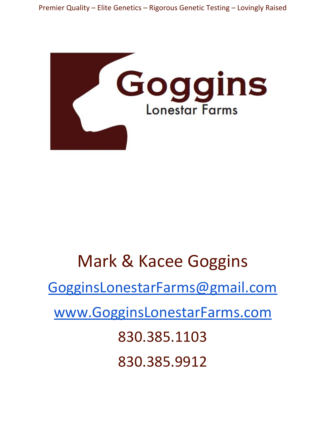



# Mark & Kacee Goggins

[GogginsLonestarFarms@gmail.com](mailto:GogginsLonestarFarms@gmail.com)

[www.GogginsLonestarFarms.com](http://www.gogginslonestarfarms.com/)

830.385.1103

830.385.9912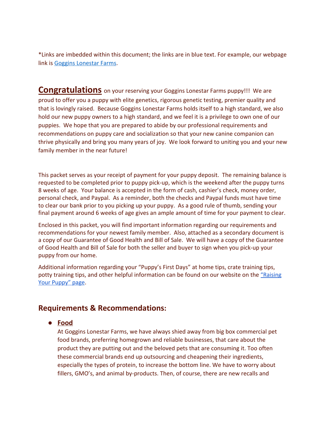\*Links are imbedded within this document; the links are in blue text. For example, our webpage link is [Goggins Lonestar Farms](http://www.gogginslonestarfarms.com/).

**Congratulations** on your reserving your Goggins Lonestar Farms puppy!!! We are proud to offer you a puppy with elite genetics, rigorous genetic testing, premier quality and that is lovingly raised. Because Goggins Lonestar Farms holds itself to a high standard, we also hold our new puppy owners to a high standard, and we feel it is a privilege to own one of our puppies. We hope that you are prepared to abide by our professional requirements and recommendations on puppy care and socialization so that your new canine companion can thrive physically and bring you many years of joy. We look forward to uniting you and your new family member in the near future!

This packet serves as your receipt of payment for your puppy deposit. The remaining balance is requested to be completed prior to puppy pick-up, which is the weekend after the puppy turns 8 weeks of age. Your balance is accepted in the form of cash, cashier's check, money order, personal check, and Paypal. As a reminder, both the checks and Paypal funds must have time to clear our bank prior to you picking up your puppy. As a good rule of thumb, sending your final payment around 6 weeks of age gives an ample amount of time for your payment to clear.

Enclosed in this packet, you will find important information regarding our requirements and recommendations for your newest family member. Also, attached as a secondary document is a copy of our Guarantee of Good Health and Bill of Sale. We will have a copy of the Guarantee of Good Health and Bill of Sale for both the seller and buyer to sign when you pick-up your puppy from our home.

Additional information regarding your "Puppy's First Days" at home tips, crate training tips, potty training tips, and other helpful information can be found on our website on the ["Raising](http://www.gogginslonestarfarms.com/raising-your-puppy.html) [Your Puppy" page](http://www.gogginslonestarfarms.com/raising-your-puppy.html).

# **Requirements & Recommendations:**

**● Food**

At Goggins Lonestar Farms, we have always shied away from big box commercial pet food brands, preferring homegrown and reliable businesses, that care about the product they are putting out and the beloved pets that are consuming it. Too often these commercial brands end up outsourcing and cheapening their ingredients, especially the types of protein, to increase the bottom line. We have to worry about fillers, GMO's, and animal by-products. Then, of course, there are new recalls and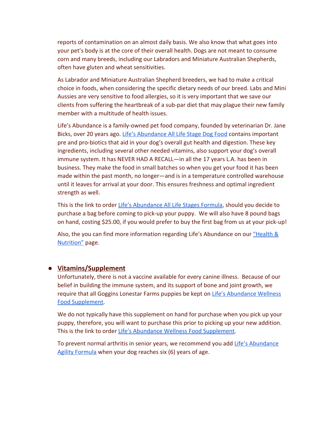reports of contamination on an almost daily basis. We also know that what goes into your pet's body is at the core of their overall health. Dogs are not meant to consume corn and many breeds, including our Labradors and Miniature Australian Shepherds, often have gluten and wheat sensitivities.

As Labrador and Miniature Australian Shepherd breeders, we had to make a critical choice in foods, when considering the specific dietary needs of our breed. Labs and Mini Aussies are very sensitive to food allergies, so it is very important that we save our clients from suffering the heartbreak of a sub-par diet that may plague their new family member with a multitude of health issues.

Life's Abundance is a family-owned pet food company, founded by veterinarian Dr. Jane Bicks, over 20 years ago. [Life's Abundance All Life Stage Dog Food](https://lifesabundance.com/Pets/LifesAbundance/LifesAbundanceDog.aspx?realname=20559548&cat=0&hdr=&Ath=False&crt=0&Category=AllStageDogFood_v11(Pet_Base)) contains important pre and pro-biotics that aid in your dog's overall gut health and digestion. These key ingredients, including several other needed vitamins, also support your dog's overall immune system. It has NEVER HAD A RECALL—in all the 17 years L.A. has been in business. They make the food in small batches so when you get your food it has been made within the past month, no longer—and is in a temperature controlled warehouse until it leaves for arrival at your door. This ensures freshness and optimal ingredient strength as well.

This is the link to order [Life's Abundance All Life Stages Formula](https://lifesabundance.com/Pets/LifesAbundance/LifesAbundanceDog.aspx?realname=20559548&cat=0&hdr=&Ath=False&crt=0&Category=AllStageDogFood_v11(Pet_Base)), should you decide to purchase a bag before coming to pick-up your puppy. We will also have 8 pound bags on hand, costing \$25.00, if you would prefer to buy the first bag from us at your pick-up!

Also, the you can find more information regarding Life's Abundance on our ["Health &](http://www.gogginslonestarfarms.com/health--nutrition.html) [Nutrition"](http://www.gogginslonestarfarms.com/health--nutrition.html) page.

#### **● Vitamins/Supplement**

Unfortunately, there is not a vaccine available for every canine illness. Because of our belief in building the immune system, and its support of bone and joint growth, we require that all Goggins Lonestar Farms puppies be kept on [Life's Abundance Wellness](https://lifesabundance.com/Pets/Supplements/WellnessFoodSupplement.aspx?realname=20559548&cat=0&hdr=&Ath=False&crt=0&Category=DogDailySupplement_v11(Pet_Base)) [Food Supplement](https://lifesabundance.com/Pets/Supplements/WellnessFoodSupplement.aspx?realname=20559548&cat=0&hdr=&Ath=False&crt=0&Category=DogDailySupplement_v11(Pet_Base)).

We do not typically have this supplement on hand for purchase when you pick up your puppy, therefore, you will want to purchase this prior to picking up your new addition. This is the link to order [Life's Abundance Wellness Food Supplement](https://lifesabundance.com/Pets/Supplements/WellnessFoodSupplement.aspx?realname=20559548&cat=0&hdr=&Ath=False&crt=0&Category=DogDailySupplement_v11(Pet_Base)).

To prevent normal arthritis in senior years, we recommend you add [Life's Abundance](https://lifesabundance.com/Pets/Supplements/Agility.aspx?realname=20559548&cat=0&hdr=&Ath=False&crt=0&Category=DogAgility_v11(Pet_Base)) [Agility Formula](https://lifesabundance.com/Pets/Supplements/Agility.aspx?realname=20559548&cat=0&hdr=&Ath=False&crt=0&Category=DogAgility_v11(Pet_Base)) when your dog reaches six (6) years of age.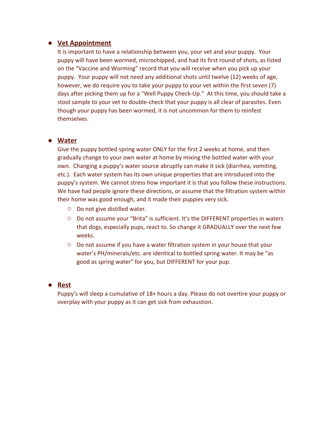### **● Vet Appointment**

It is important to have a relationship between you, your vet and your puppy. Your puppy will have been wormed, microchipped, and had its first round of shots, as listed on the "Vaccine and Worming" record that you will receive when you pick up your puppy. Your puppy will not need any additional shots until twelve (12) weeks of age, however, we do require you to take your puppy to your vet within the first seven (7) days after picking them up for a "Well Puppy Check-Up." At this time, you should take a stool sample to your vet to double-check that your puppy is all clear of parasites. Even though your puppy has been wormed, it is not uncommon for them to reinfest themselves.

## **● Water**

Give the puppy bottled spring water ONLY for the first 2 weeks at home, and then gradually change to your own water at home by mixing the bottled water with your own. Changing a puppy's water source abruptly can make it sick (diarrhea, vomiting, etc.). Each water system has its own unique properties that are introduced into the puppy's system. We cannot stress how important it is that you follow these instructions. We have had people ignore these directions, or assume that the filtration system within their home was good enough, and it made their puppies very sick.

- **○** Do not give distilled water.
- **○** Do not assume your "Brita" is sufficient. It's the DIFFERENT properties in waters that dogs, especially pups, react to. So change it GRADUALLY over the next few weeks.
- **○** Do not assume if you have a water filtration system in your house that your water's PH/minerals/etc. are identical to bottled spring water. It may be "as good as spring water" for you, but DIFFERENT for your pup.

#### **● Rest**

Puppy's will sleep a cumulative of 18+ hours a day. Please do not overtire your puppy or overplay with your puppy as it can get sick from exhaustion.